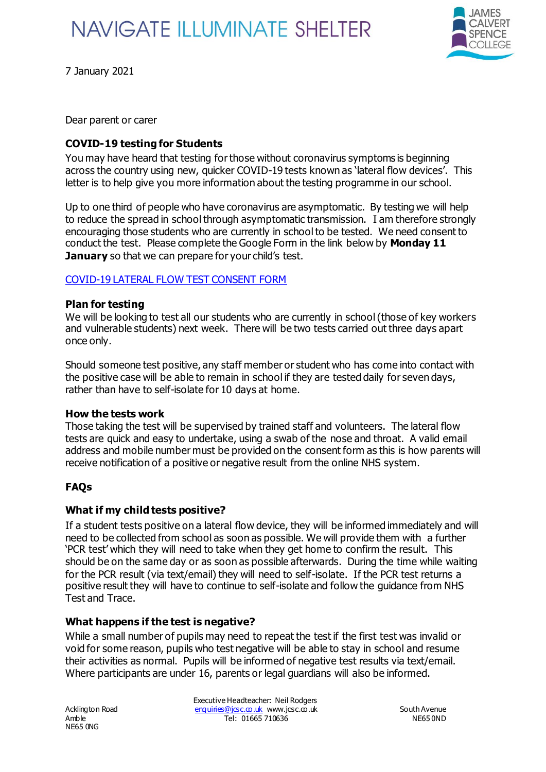# **NAVIGATE ILLUMINATE SHELTER**



7 January 2021

Dear parent or carer

## **COVID-19 testing for Students**

You may have heard that testing for those without coronavirus symptoms is beginning across the country using new, quicker COVID-19 tests known as 'lateral flow devices'. This letter is to help give you more information about the testing programme in our school.

Up to one third of people who have coronavirus are asymptomatic. By testing we will help to reduce the spread in school through asymptomatic transmission. I am therefore strongly encouraging those students who are currently in school to be tested. We need consent to conduct the test. Please complete the Google Form in the link below by **Monday 11 January** so that we can prepare for your child's test.

### COVID-19 LATERAL FLOW TEST CONSENT FORM

#### **Plan for testing**

We will be looking to test all our students who are currently in school (those of key workers and vulnerable students) next week. There will be two tests carried out three days apart once only.

Should someone test positive, any staff member or student who has come into contact with the positive case will be able to remain in school if they are tested daily for seven days, rather than have to self-isolate for 10 days at home.

### **How the tests work**

Those taking the test will be supervised by trained staff and volunteers. The lateral flow tests are quick and easy to undertake, using a swab of the nose and throat. A valid email address and mobile number must be provided on the consent form as this is how parents will receive notification of a positive or negative result from the online NHS system.

### **FAQs**

### **What if my child tests positive?**

If a student tests positive on a lateral flow device, they will be informed immediately and will need to be collected from school as soon as possible. We will provide them with a further 'PCR test' which they will need to take when they get home to confirm the result. This should be on the same day or as soon as possible afterwards. During the time while waiting for the PCR result (via text/email) they will need to self-isolate. If the PCR test returns a positive result they will have to continue to self-isolate and follow the guidance from NHS Test and Trace.

### **What happens if the test is negative?**

While a small number of pupils may need to repeat the test if the first test was invalid or void for some reason, pupils who test negative will be able to stay in school and resume their activities as normal. Pupils will be informed of negative test results via text/email. Where participants are under 16, parents or legal guardians will also be informed.

NE65 0NG

Executive Headteacher: Neil Rodgers Acklington Road enquiries@jcsc.co.uk www.jcsc.co.uk South Avenue Amble NE65 0ND Tel: 01665 710636